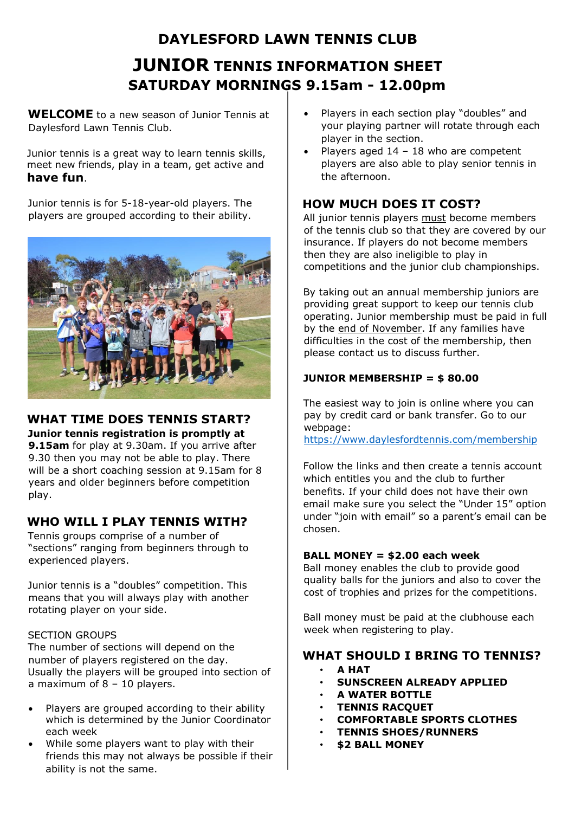# **DAYLESFORD LAWN TENNIS CLUB JUNIOR TENNIS INFORMATION SHEET SATURDAY MORNINGS 9.15am - 12.00pm**

**WELCOME** to a new season of Junior Tennis at Daylesford Lawn Tennis Club.

Junior tennis is a great way to learn tennis skills, meet new friends, play in a team, get active and **have fun**.

Junior tennis is for 5-18-year-old players. The players are grouped according to their ability.



# **WHAT TIME DOES TENNIS START?**

**Junior tennis registration is promptly at**

**9.15am** for play at 9.30am. If you arrive after 9.30 then you may not be able to play. There will be a short coaching session at 9.15am for 8 years and older beginners before competition play.

# **WHO WILL I PLAY TENNIS WITH?**

Tennis groups comprise of a number of "sections" ranging from beginners through to experienced players.

Junior tennis is a "doubles" competition. This means that you will always play with another rotating player on your side.

#### SECTION GROUPS

The number of sections will depend on the number of players registered on the day. Usually the players will be grouped into section of a maximum of  $8 - 10$  players.

- Players are grouped according to their ability which is determined by the Junior Coordinator each week
- While some players want to play with their friends this may not always be possible if their ability is not the same.
- Players in each section play "doubles" and your playing partner will rotate through each player in the section.
- Players aged  $14 18$  who are competent players are also able to play senior tennis in the afternoon.

# **HOW MUCH DOES IT COST?**

All junior tennis players must become members of the tennis club so that they are covered by our insurance. If players do not become members then they are also ineligible to play in competitions and the junior club championships.

By taking out an annual membership juniors are providing great support to keep our tennis club operating. Junior membership must be paid in full by the end of November. If any families have difficulties in the cost of the membership, then please contact us to discuss further.

### **JUNIOR MEMBERSHIP = \$ 80.00**

The easiest way to join is online where you can pay by credit card or bank transfer. Go to our webpage: https://www.daylesfordtennis.com/membership

Follow the links and then create a tennis account which entitles you and the club to further benefits. If your child does not have their own email make sure you select the "Under 15" option under "join with email" so a parent's email can be chosen.

#### **BALL MONEY = \$2.00 each week**

Ball money enables the club to provide good quality balls for the juniors and also to cover the cost of trophies and prizes for the competitions.

Ball money must be paid at the clubhouse each week when registering to play.

## **WHAT SHOULD I BRING TO TENNIS?**

- **A HAT**
- **SUNSCREEN ALREADY APPLIED**
- **A WATER BOTTLE**
- **TENNIS RACQUET**
- **COMFORTABLE SPORTS CLOTHES**
- **TENNIS SHOES/RUNNERS**
- **\$2 BALL MONEY**